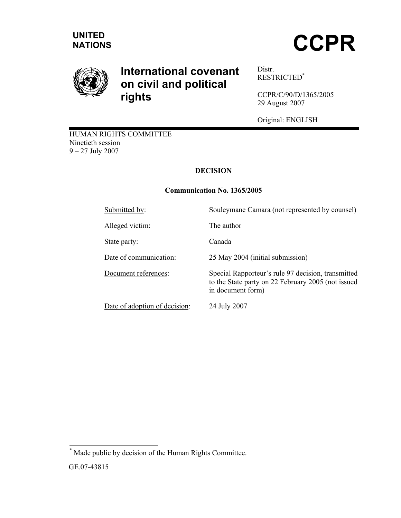

# **International covenant on civil and political rights**

Distr. RESTRICTED\*

CCPR/C/90/D/1365/2005 29 August 2007

Original: ENGLISH

to the State party on 22 February 2005 (not issued

HUMAN RIGHTS COMMITTEE Ninetieth session 9 – 27 July 2007

# **DECISION**

# **Communication No. 1365/2005**

in document form)

Submitted by:<br>Souleymane Camara (not represented by counsel)

Alleged victim: The author

State party: Canada

Date of communication: 25 May 2004 (initial submission)

Document references: Special Rapporteur's rule 97 decision, transmitted

Date of adoption of decision: 24 July 2007

\* Made public by decision of the Human Rights Committee.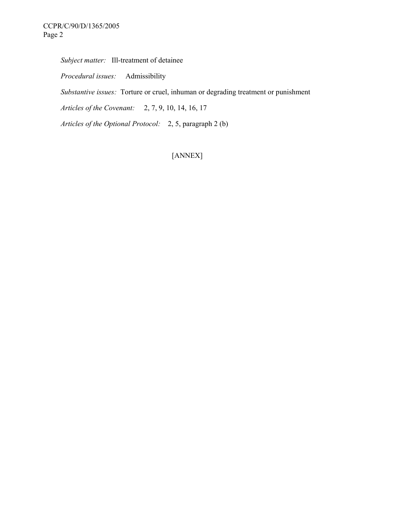*Subject matter:* Ill-treatment of detainee

 *Procedural issues:* Admissibility

 *Substantive issues:* Torture or cruel, inhuman or degrading treatment or punishment

 *Articles of the Covenant:* 2, 7, 9, 10, 14, 16, 17

 *Articles of the Optional Protocol:* 2, 5, paragraph 2 (b)

[ANNEX]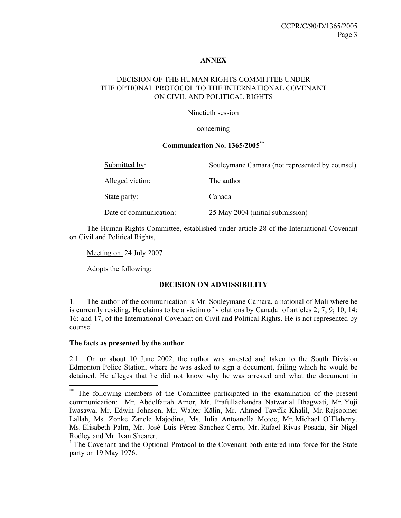#### **ANNEX**

#### DECISION OF THE HUMAN RIGHTS COMMITTEE UNDER THE OPTIONAL PROTOCOL TO THE INTERNATIONAL COVENANT ON CIVIL AND POLITICAL RIGHTS

Ninetieth session

#### concerning

## **Communication No. 1365/2005\*\***

| Submitted by:          | Souleymane Camara (not represented by counsel) |
|------------------------|------------------------------------------------|
| Alleged victim:        | The author                                     |
| State party:           | Canada                                         |
| Date of communication: | 25 May 2004 (initial submission)               |

 The Human Rights Committee, established under article 28 of the International Covenant on Civil and Political Rights,

Meeting on 24 July 2007

Adopts the following:

#### **DECISION ON ADMISSIBILITY**

1. The author of the communication is Mr. Souleymane Camara, a national of Mali where he is currently residing. He claims to be a victim of violations by Canada<sup>1</sup> of articles 2; 7; 9; 10; 14; 16; and 17, of the International Covenant on Civil and Political Rights. He is not represented by counsel.

#### **The facts as presented by the author**

 $\overline{a}$ 

2.1 On or about 10 June 2002, the author was arrested and taken to the South Division Edmonton Police Station, where he was asked to sign a document, failing which he would be detained. He alleges that he did not know why he was arrested and what the document in

<sup>\*\*</sup> The following members of the Committee participated in the examination of the present communication: Mr. Abdelfattah Amor, Mr. Prafullachandra Natwarlal Bhagwati, Mr. Yuji Iwasawa, Mr. Edwin Johnson, Mr. Walter Kälin, Mr. Ahmed Tawfik Khalil, Mr. Rajsoomer Lallah, Ms. Zonke Zanele Majodina, Ms. Iulia Antoanella Motoc, Mr. Michael O'Flaherty, Ms. Elisabeth Palm, Mr. José Luis Pérez Sanchez-Cerro, Mr. Rafael Rivas Posada, Sir Nigel Rodley and Mr. Ivan Shearer.

<sup>&</sup>lt;sup>1</sup> The Covenant and the Optional Protocol to the Covenant both entered into force for the State party on 19 May 1976.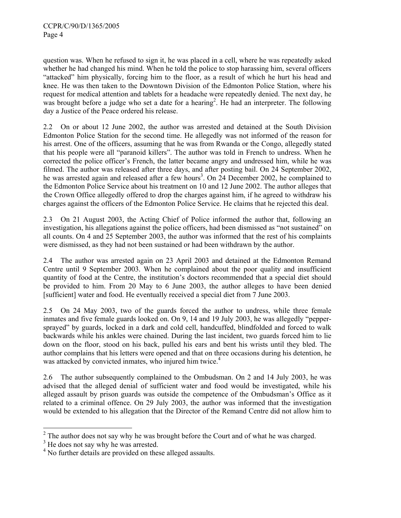question was. When he refused to sign it, he was placed in a cell, where he was repeatedly asked whether he had changed his mind. When he told the police to stop harassing him, several officers "attacked" him physically, forcing him to the floor, as a result of which he hurt his head and knee. He was then taken to the Downtown Division of the Edmonton Police Station, where his request for medical attention and tablets for a headache were repeatedly denied. The next day, he was brought before a judge who set a date for a hearing<sup>2</sup>. He had an interpreter. The following day a Justice of the Peace ordered his release.

2.2 On or about 12 June 2002, the author was arrested and detained at the South Division Edmonton Police Station for the second time. He allegedly was not informed of the reason for his arrest. One of the officers, assuming that he was from Rwanda or the Congo, allegedly stated that his people were all "paranoid killers". The author was told in French to undress. When he corrected the police officer's French, the latter became angry and undressed him, while he was filmed. The author was released after three days, and after posting bail. On 24 September 2002, he was arrested again and released after a few hours<sup>3</sup>. On  $24$  December 2002, he complained to the Edmonton Police Service about his treatment on 10 and 12 June 2002. The author alleges that the Crown Office allegedly offered to drop the charges against him, if he agreed to withdraw his charges against the officers of the Edmonton Police Service. He claims that he rejected this deal.

2.3 On 21 August 2003, the Acting Chief of Police informed the author that, following an investigation, his allegations against the police officers, had been dismissed as "not sustained" on all counts. On 4 and 25 September 2003, the author was informed that the rest of his complaints were dismissed, as they had not been sustained or had been withdrawn by the author.

2.4 The author was arrested again on 23 April 2003 and detained at the Edmonton Remand Centre until 9 September 2003. When he complained about the poor quality and insufficient quantity of food at the Centre, the institution's doctors recommended that a special diet should be provided to him. From 20 May to 6 June 2003, the author alleges to have been denied [sufficient] water and food. He eventually received a special diet from 7 June 2003.

2.5 On 24 May 2003, two of the guards forced the author to undress, while three female inmates and five female guards looked on. On 9, 14 and 19 July 2003, he was allegedly "peppersprayed" by guards, locked in a dark and cold cell, handcuffed, blindfolded and forced to walk backwards while his ankles were chained. During the last incident, two guards forced him to lie down on the floor, stood on his back, pulled his ears and bent his wrists until they bled. The author complains that his letters were opened and that on three occasions during his detention, he was attacked by convicted inmates, who injured him twice.<sup>4</sup>

2.6 The author subsequently complained to the Ombudsman. On 2 and 14 July 2003, he was advised that the alleged denial of sufficient water and food would be investigated, while his alleged assault by prison guards was outside the competence of the Ombudsman's Office as it related to a criminal offence. On 29 July 2003, the author was informed that the investigation would be extended to his allegation that the Director of the Remand Centre did not allow him to

 $\overline{\phantom{a}}$ 

 $2^2$  The author does not say why he was brought before the Court and of what he was charged.

<sup>&</sup>lt;sup>3</sup> He does not say why he was arrested.

<sup>&</sup>lt;sup>4</sup> No further details are provided on these alleged assaults.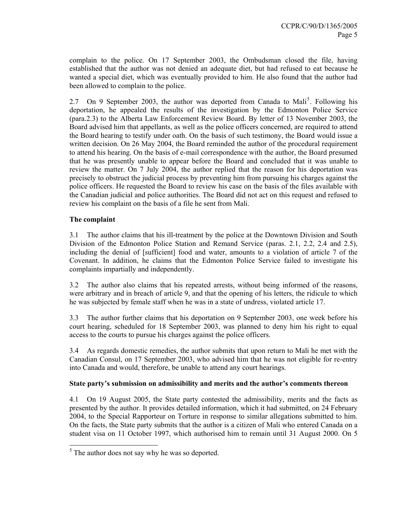complain to the police. On 17 September 2003, the Ombudsman closed the file, having established that the author was not denied an adequate diet, but had refused to eat because he wanted a special diet, which was eventually provided to him. He also found that the author had been allowed to complain to the police.

2.7 On 9 September 2003, the author was deported from Canada to Mali<sup>5</sup>. Following his deportation, he appealed the results of the investigation by the Edmonton Police Service (para.2.3) to the Alberta Law Enforcement Review Board. By letter of 13 November 2003, the Board advised him that appellants, as well as the police officers concerned, are required to attend the Board hearing to testify under oath. On the basis of such testimony, the Board would issue a written decision. On 26 May 2004, the Board reminded the author of the procedural requirement to attend his hearing. On the basis of e-mail correspondence with the author, the Board presumed that he was presently unable to appear before the Board and concluded that it was unable to review the matter. On 7 July 2004, the author replied that the reason for his deportation was precisely to obstruct the judicial process by preventing him from pursuing his charges against the police officers. He requested the Board to review his case on the basis of the files available with the Canadian judicial and police authorities. The Board did not act on this request and refused to review his complaint on the basis of a file he sent from Mali.

## **The complaint**

3.1 The author claims that his ill-treatment by the police at the Downtown Division and South Division of the Edmonton Police Station and Remand Service (paras. 2.1, 2.2, 2.4 and 2.5), including the denial of [sufficient] food and water, amounts to a violation of article 7 of the Covenant. In addition, he claims that the Edmonton Police Service failed to investigate his complaints impartially and independently.

3.2 The author also claims that his repeated arrests, without being informed of the reasons, were arbitrary and in breach of article 9, and that the opening of his letters, the ridicule to which he was subjected by female staff when he was in a state of undress, violated article 17.

3.3 The author further claims that his deportation on 9 September 2003, one week before his court hearing, scheduled for 18 September 2003, was planned to deny him his right to equal access to the courts to pursue his charges against the police officers.

3.4 As regards domestic remedies, the author submits that upon return to Mali he met with the Canadian Consul, on 17 September 2003, who advised him that he was not eligible for re-entry into Canada and would, therefore, be unable to attend any court hearings.

#### **State party's submission on admissibility and merits and the author's comments thereon**

4.1 On 19 August 2005, the State party contested the admissibility, merits and the facts as presented by the author. It provides detailed information, which it had submitted, on 24 February 2004, to the Special Rapporteur on Torture in response to similar allegations submitted to him. On the facts, the State party submits that the author is a citizen of Mali who entered Canada on a student visa on 11 October 1997, which authorised him to remain until 31 August 2000. On 5

<sup>&</sup>lt;sup>5</sup> The author does not say why he was so deported.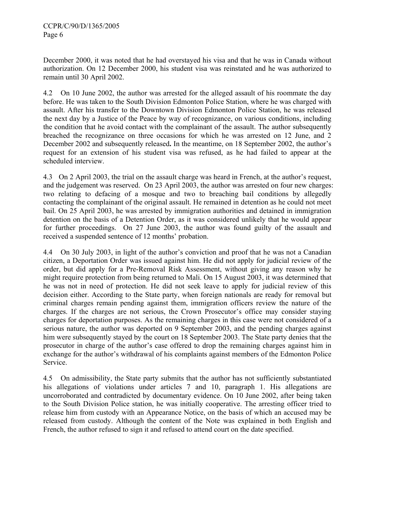December 2000, it was noted that he had overstayed his visa and that he was in Canada without authorization. On 12 December 2000, his student visa was reinstated and he was authorized to remain until 30 April 2002.

4.2 On 10 June 2002, the author was arrested for the alleged assault of his roommate the day before. He was taken to the South Division Edmonton Police Station, where he was charged with assault. After his transfer to the Downtown Division Edmonton Police Station, he was released the next day by a Justice of the Peace by way of recognizance, on various conditions, including the condition that he avoid contact with the complainant of the assault. The author subsequently breached the recognizance on three occasions for which he was arrested on 12 June, and 2 December 2002 and subsequently released**.** In the meantime, on 18 September 2002, the author's request for an extension of his student visa was refused, as he had failed to appear at the scheduled interview.

4.3 On 2 April 2003, the trial on the assault charge was heard in French, at the author's request, and the judgement was reserved. On 23 April 2003, the author was arrested on four new charges: two relating to defacing of a mosque and two to breaching bail conditions by allegedly contacting the complainant of the original assault. He remained in detention as he could not meet bail. On 25 April 2003, he was arrested by immigration authorities and detained in immigration detention on the basis of a Detention Order, as it was considered unlikely that he would appear for further proceedings. On 27 June 2003, the author was found guilty of the assault and received a suspended sentence of 12 months' probation.

4.4 On 30 July 2003, in light of the author's conviction and proof that he was not a Canadian citizen, a Deportation Order was issued against him. He did not apply for judicial review of the order, but did apply for a Pre-Removal Risk Assessment, without giving any reason why he might require protection from being returned to Mali. On 15 August 2003, it was determined that he was not in need of protection. He did not seek leave to apply for judicial review of this decision either. According to the State party, when foreign nationals are ready for removal but criminal charges remain pending against them, immigration officers review the nature of the charges. If the charges are not serious, the Crown Prosecutor's office may consider staying charges for deportation purposes. As the remaining charges in this case were not considered of a serious nature, the author was deported on 9 September 2003, and the pending charges against him were subsequently stayed by the court on 18 September 2003. The State party denies that the prosecutor in charge of the author's case offered to drop the remaining charges against him in exchange for the author's withdrawal of his complaints against members of the Edmonton Police Service.

4.5 On admissibility, the State party submits that the author has not sufficiently substantiated his allegations of violations under articles 7 and 10, paragraph 1. His allegations are uncorroborated and contradicted by documentary evidence. On 10 June 2002, after being taken to the South Division Police station, he was initially cooperative. The arresting officer tried to release him from custody with an Appearance Notice, on the basis of which an accused may be released from custody. Although the content of the Note was explained in both English and French, the author refused to sign it and refused to attend court on the date specified.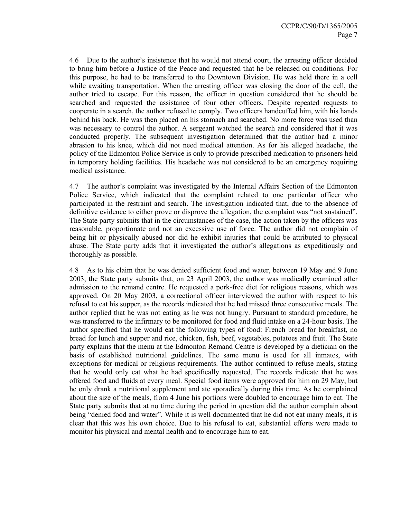4.6 Due to the author's insistence that he would not attend court, the arresting officer decided to bring him before a Justice of the Peace and requested that he be released on conditions. For this purpose, he had to be transferred to the Downtown Division. He was held there in a cell while awaiting transportation. When the arresting officer was closing the door of the cell, the author tried to escape. For this reason, the officer in question considered that he should be searched and requested the assistance of four other officers. Despite repeated requests to cooperate in a search, the author refused to comply. Two officers handcuffed him, with his hands behind his back. He was then placed on his stomach and searched. No more force was used than was necessary to control the author. A sergeant watched the search and considered that it was conducted properly. The subsequent investigation determined that the author had a minor abrasion to his knee, which did not need medical attention. As for his alleged headache, the policy of the Edmonton Police Service is only to provide prescribed medication to prisoners held in temporary holding facilities. His headache was not considered to be an emergency requiring medical assistance.

4.7 The author's complaint was investigated by the Internal Affairs Section of the Edmonton Police Service, which indicated that the complaint related to one particular officer who participated in the restraint and search. The investigation indicated that, due to the absence of definitive evidence to either prove or disprove the allegation, the complaint was "not sustained". The State party submits that in the circumstances of the case, the action taken by the officers was reasonable, proportionate and not an excessive use of force. The author did not complain of being hit or physically abused nor did he exhibit injuries that could be attributed to physical abuse. The State party adds that it investigated the author's allegations as expeditiously and thoroughly as possible.

4.8 As to his claim that he was denied sufficient food and water, between 19 May and 9 June 2003, the State party submits that, on 23 April 2003, the author was medically examined after admission to the remand centre. He requested a pork-free diet for religious reasons, which was approved. On 20 May 2003, a correctional officer interviewed the author with respect to his refusal to eat his supper, as the records indicated that he had missed three consecutive meals. The author replied that he was not eating as he was not hungry. Pursuant to standard procedure, he was transferred to the infirmary to be monitored for food and fluid intake on a 24-hour basis. The author specified that he would eat the following types of food: French bread for breakfast, no bread for lunch and supper and rice, chicken, fish, beef, vegetables, potatoes and fruit. The State party explains that the menu at the Edmonton Remand Centre is developed by a dietician on the basis of established nutritional guidelines. The same menu is used for all inmates, with exceptions for medical or religious requirements. The author continued to refuse meals, stating that he would only eat what he had specifically requested. The records indicate that he was offered food and fluids at every meal. Special food items were approved for him on 29 May, but he only drank a nutritional supplement and ate sporadically during this time. As he complained about the size of the meals, from 4 June his portions were doubled to encourage him to eat. The State party submits that at no time during the period in question did the author complain about being "denied food and water". While it is well documented that he did not eat many meals, it is clear that this was his own choice. Due to his refusal to eat, substantial efforts were made to monitor his physical and mental health and to encourage him to eat.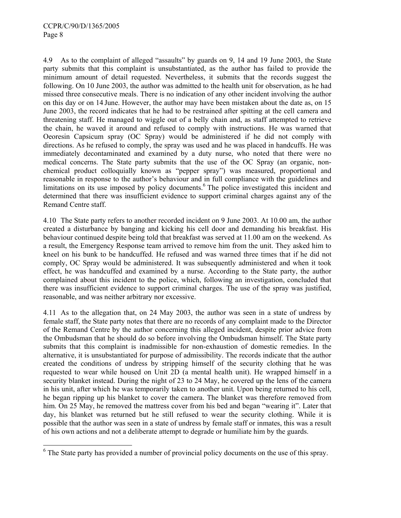$\overline{\phantom{a}}$ 

4.9 As to the complaint of alleged "assaults" by guards on 9, 14 and 19 June 2003, the State party submits that this complaint is unsubstantiated, as the author has failed to provide the minimum amount of detail requested. Nevertheless, it submits that the records suggest the following. On 10 June 2003, the author was admitted to the health unit for observation, as he had missed three consecutive meals. There is no indication of any other incident involving the author on this day or on 14 June. However, the author may have been mistaken about the date as, on 15 June 2003, the record indicates that he had to be restrained after spitting at the cell camera and threatening staff. He managed to wiggle out of a belly chain and, as staff attempted to retrieve the chain, he waved it around and refused to comply with instructions. He was warned that Oeoresin Capsicum spray (OC Spray) would be administered if he did not comply with directions. As he refused to comply, the spray was used and he was placed in handcuffs. He was immediately decontaminated and examined by a duty nurse, who noted that there were no medical concerns. The State party submits that the use of the OC Spray (an organic, nonchemical product colloquially known as "pepper spray") was measured, proportional and reasonable in response to the author's behaviour and in full compliance with the guidelines and limitations on its use imposed by policy documents.<sup>6</sup> The police investigated this incident and determined that there was insufficient evidence to support criminal charges against any of the Remand Centre staff.

4.10 The State party refers to another recorded incident on 9 June 2003. At 10.00 am, the author created a disturbance by banging and kicking his cell door and demanding his breakfast. His behaviour continued despite being told that breakfast was served at 11.00 am on the weekend. As a result, the Emergency Response team arrived to remove him from the unit. They asked him to kneel on his bunk to be handcuffed. He refused and was warned three times that if he did not comply, OC Spray would be administered. It was subsequently administered and when it took effect, he was handcuffed and examined by a nurse. According to the State party, the author complained about this incident to the police, which, following an investigation, concluded that there was insufficient evidence to support criminal charges. The use of the spray was justified, reasonable, and was neither arbitrary nor excessive.

4.11 As to the allegation that, on 24 May 2003, the author was seen in a state of undress by female staff, the State party notes that there are no records of any complaint made to the Director of the Remand Centre by the author concerning this alleged incident, despite prior advice from the Ombudsman that he should do so before involving the Ombudsman himself. The State party submits that this complaint is inadmissible for non-exhaustion of domestic remedies. In the alternative, it is unsubstantiated for purpose of admissibility. The records indicate that the author created the conditions of undress by stripping himself of the security clothing that he was requested to wear while housed on Unit 2D (a mental health unit). He wrapped himself in a security blanket instead. During the night of 23 to 24 May, he covered up the lens of the camera in his unit, after which he was temporarily taken to another unit. Upon being returned to his cell, he began ripping up his blanket to cover the camera. The blanket was therefore removed from him. On 25 May, he removed the mattress cover from his bed and began "wearing it". Later that day, his blanket was returned but he still refused to wear the security clothing. While it is possible that the author was seen in a state of undress by female staff or inmates, this was a result of his own actions and not a deliberate attempt to degrade or humiliate him by the guards.

 $6$  The State party has provided a number of provincial policy documents on the use of this spray.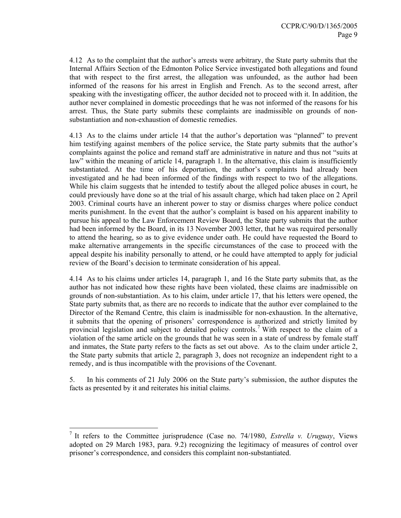4.12 As to the complaint that the author's arrests were arbitrary, the State party submits that the Internal Affairs Section of the Edmonton Police Service investigated both allegations and found that with respect to the first arrest, the allegation was unfounded, as the author had been informed of the reasons for his arrest in English and French. As to the second arrest, after speaking with the investigating officer, the author decided not to proceed with it. In addition, the author never complained in domestic proceedings that he was not informed of the reasons for his arrest. Thus, the State party submits these complaints are inadmissible on grounds of nonsubstantiation and non-exhaustion of domestic remedies.

4.13 As to the claims under article 14 that the author's deportation was "planned" to prevent him testifying against members of the police service, the State party submits that the author's complaints against the police and remand staff are administrative in nature and thus not "suits at law" within the meaning of article 14, paragraph 1. In the alternative, this claim is insufficiently substantiated. At the time of his deportation, the author's complaints had already been investigated and he had been informed of the findings with respect to two of the allegations. While his claim suggests that he intended to testify about the alleged police abuses in court, he could previously have done so at the trial of his assault charge, which had taken place on 2 April 2003. Criminal courts have an inherent power to stay or dismiss charges where police conduct merits punishment. In the event that the author's complaint is based on his apparent inability to pursue his appeal to the Law Enforcement Review Board, the State party submits that the author had been informed by the Board, in its 13 November 2003 letter, that he was required personally to attend the hearing, so as to give evidence under oath. He could have requested the Board to make alternative arrangements in the specific circumstances of the case to proceed with the appeal despite his inability personally to attend, or he could have attempted to apply for judicial review of the Board's decision to terminate consideration of his appeal.

4.14 As to his claims under articles 14, paragraph 1, and 16 the State party submits that, as the author has not indicated how these rights have been violated, these claims are inadmissible on grounds of non-substantiation. As to his claim, under article 17, that his letters were opened, the State party submits that, as there are no records to indicate that the author ever complained to the Director of the Remand Centre, this claim is inadmissible for non-exhaustion. In the alternative, it submits that the opening of prisoners' correspondence is authorized and strictly limited by provincial legislation and subject to detailed policy controls.<sup>7</sup> With respect to the claim of a violation of the same article on the grounds that he was seen in a state of undress by female staff and inmates, the State party refers to the facts as set out above. As to the claim under article 2, the State party submits that article 2, paragraph 3, does not recognize an independent right to a remedy, and is thus incompatible with the provisions of the Covenant.

5. In his comments of 21 July 2006 on the State party's submission, the author disputes the facts as presented by it and reiterates his initial claims.

 $\overline{a}$ 

<sup>7</sup> It refers to the Committee jurisprudence (Case no. 74/1980, *Estrella v. Uruguay*, Views adopted on 29 March 1983, para. 9.2) recognizing the legitimacy of measures of control over prisoner's correspondence, and considers this complaint non-substantiated.